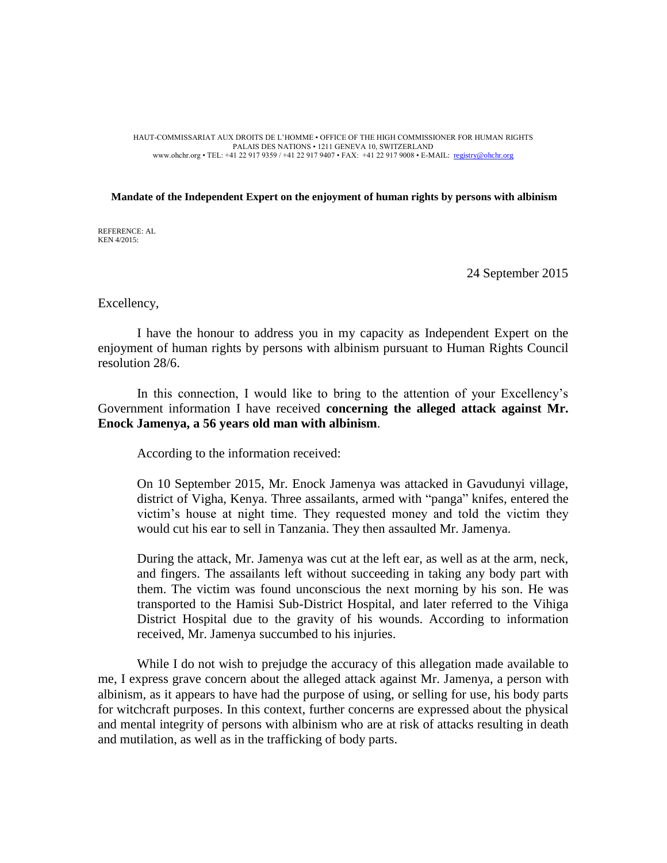## HAUT-COMMISSARIAT AUX DROITS DE L'HOMME • OFFICE OF THE HIGH COMMISSIONER FOR HUMAN RIGHTS PALAIS DES NATIONS • 1211 GENEVA 10, SWITZERLAND www.ohchr.org • TEL: +41 22 917 9359 / +41 22 917 9407 • FAX: +41 22 917 9008 • E-MAIL: [registry@ohchr.org](mailto:registry@ohchr.org)

## **Mandate of the Independent Expert on the enjoyment of human rights by persons with albinism**

REFERENCE: AL KEN 4/2015:

24 September 2015

Excellency,

I have the honour to address you in my capacity as Independent Expert on the enjoyment of human rights by persons with albinism pursuant to Human Rights Council resolution 28/6.

In this connection, I would like to bring to the attention of your Excellency's Government information I have received **concerning the alleged attack against Mr. Enock Jamenya, a 56 years old man with albinism**.

According to the information received:

On 10 September 2015, Mr. Enock Jamenya was attacked in Gavudunyi village, district of Vigha, Kenya. Three assailants, armed with "panga" knifes, entered the victim's house at night time. They requested money and told the victim they would cut his ear to sell in Tanzania. They then assaulted Mr. Jamenya.

During the attack, Mr. Jamenya was cut at the left ear, as well as at the arm, neck, and fingers. The assailants left without succeeding in taking any body part with them. The victim was found unconscious the next morning by his son. He was transported to the Hamisi Sub-District Hospital, and later referred to the Vihiga District Hospital due to the gravity of his wounds. According to information received, Mr. Jamenya succumbed to his injuries.

While I do not wish to prejudge the accuracy of this allegation made available to me, I express grave concern about the alleged attack against Mr. Jamenya, a person with albinism, as it appears to have had the purpose of using, or selling for use, his body parts for witchcraft purposes. In this context, further concerns are expressed about the physical and mental integrity of persons with albinism who are at risk of attacks resulting in death and mutilation, as well as in the trafficking of body parts.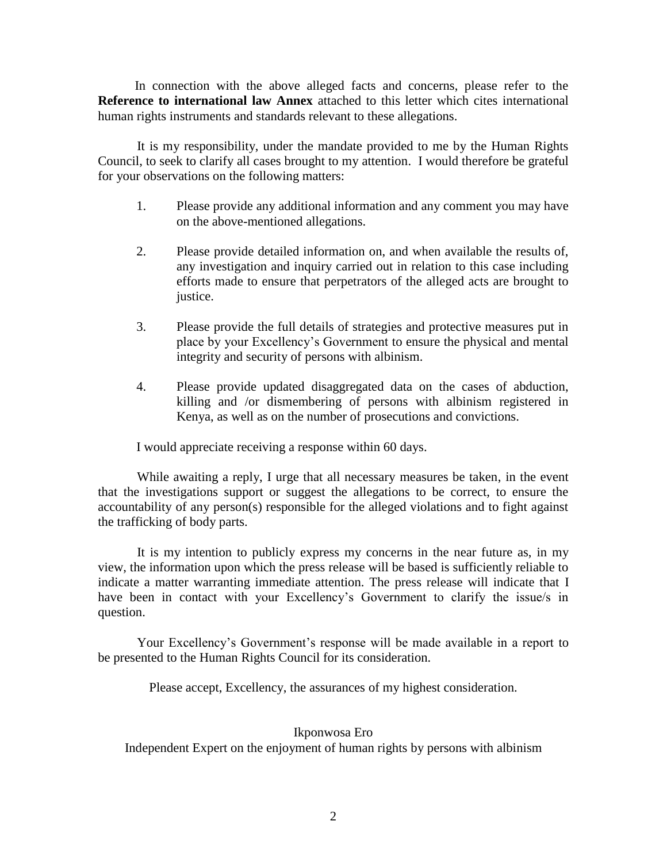In connection with the above alleged facts and concerns, please refer to the **Reference to international law Annex** attached to this letter which cites international human rights instruments and standards relevant to these allegations.

It is my responsibility, under the mandate provided to me by the Human Rights Council, to seek to clarify all cases brought to my attention. I would therefore be grateful for your observations on the following matters:

- 1. Please provide any additional information and any comment you may have on the above-mentioned allegations.
- 2. Please provide detailed information on, and when available the results of, any investigation and inquiry carried out in relation to this case including efforts made to ensure that perpetrators of the alleged acts are brought to justice.
- 3. Please provide the full details of strategies and protective measures put in place by your Excellency's Government to ensure the physical and mental integrity and security of persons with albinism.
- 4. Please provide updated disaggregated data on the cases of abduction, killing and /or dismembering of persons with albinism registered in Kenya, as well as on the number of prosecutions and convictions.

I would appreciate receiving a response within 60 days.

While awaiting a reply, I urge that all necessary measures be taken, in the event that the investigations support or suggest the allegations to be correct, to ensure the accountability of any person(s) responsible for the alleged violations and to fight against the trafficking of body parts.

It is my intention to publicly express my concerns in the near future as, in my view, the information upon which the press release will be based is sufficiently reliable to indicate a matter warranting immediate attention. The press release will indicate that I have been in contact with your Excellency's Government to clarify the issue/s in question.

Your Excellency's Government's response will be made available in a report to be presented to the Human Rights Council for its consideration.

Please accept, Excellency, the assurances of my highest consideration.

## Ikponwosa Ero

Independent Expert on the enjoyment of human rights by persons with albinism